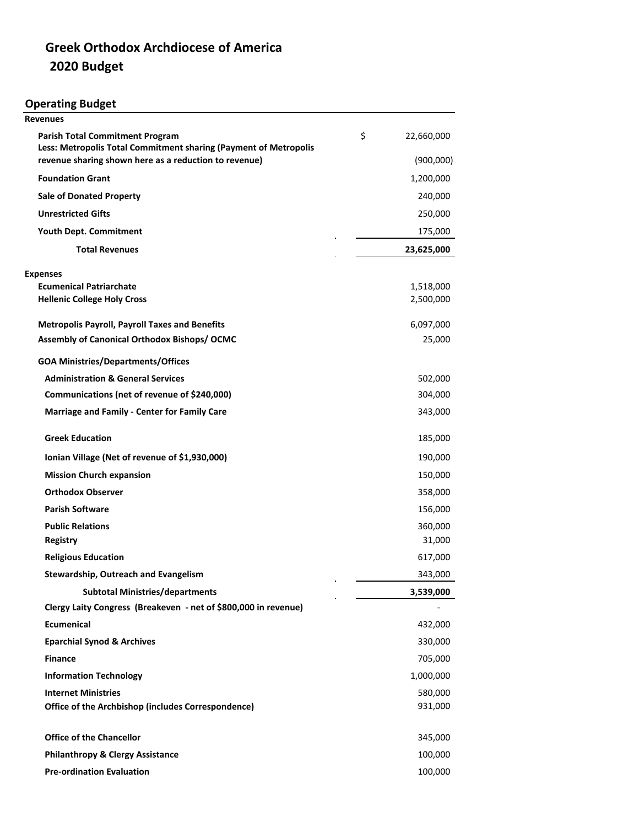## **Greek Orthodox Archdiocese of America 2020 Budget**

**Operating Budget**

| <b>Revenues</b>                                                                                            |                  |
|------------------------------------------------------------------------------------------------------------|------------------|
| <b>Parish Total Commitment Program</b><br>Less: Metropolis Total Commitment sharing (Payment of Metropolis | \$<br>22,660,000 |
| revenue sharing shown here as a reduction to revenue)                                                      | (900,000)        |
| <b>Foundation Grant</b>                                                                                    | 1,200,000        |
| <b>Sale of Donated Property</b>                                                                            | 240,000          |
| <b>Unrestricted Gifts</b>                                                                                  | 250,000          |
| Youth Dept. Commitment                                                                                     | 175,000          |
| <b>Total Revenues</b>                                                                                      | 23,625,000       |
| <b>Expenses</b>                                                                                            |                  |
| <b>Ecumenical Patriarchate</b>                                                                             | 1,518,000        |
| <b>Hellenic College Holy Cross</b>                                                                         | 2,500,000        |
| <b>Metropolis Payroll, Payroll Taxes and Benefits</b>                                                      | 6,097,000        |
| Assembly of Canonical Orthodox Bishops/ OCMC                                                               | 25,000           |
| <b>GOA Ministries/Departments/Offices</b>                                                                  |                  |
| <b>Administration &amp; General Services</b>                                                               | 502,000          |
| Communications (net of revenue of \$240,000)                                                               | 304,000          |
| <b>Marriage and Family - Center for Family Care</b>                                                        | 343,000          |
| <b>Greek Education</b>                                                                                     | 185,000          |
| Ionian Village (Net of revenue of \$1,930,000)                                                             | 190,000          |
| <b>Mission Church expansion</b>                                                                            | 150,000          |
| <b>Orthodox Observer</b>                                                                                   | 358,000          |
| <b>Parish Software</b>                                                                                     | 156,000          |
| <b>Public Relations</b>                                                                                    | 360,000          |
| <b>Registry</b>                                                                                            | 31,000           |
| <b>Religious Education</b>                                                                                 | 617,000          |
| Stewardship, Outreach and Evangelism                                                                       | 343,000          |
| <b>Subtotal Ministries/departments</b>                                                                     | 3,539,000        |
| Clergy Laity Congress (Breakeven - net of \$800,000 in revenue)                                            |                  |
| <b>Ecumenical</b>                                                                                          | 432,000          |
| <b>Eparchial Synod &amp; Archives</b>                                                                      | 330,000          |
| <b>Finance</b>                                                                                             | 705,000          |
| <b>Information Technology</b>                                                                              | 1,000,000        |
| <b>Internet Ministries</b>                                                                                 | 580,000          |
| Office of the Archbishop (includes Correspondence)                                                         | 931,000          |
| <b>Office of the Chancellor</b>                                                                            | 345,000          |
| <b>Philanthropy &amp; Clergy Assistance</b>                                                                | 100,000          |
| <b>Pre-ordination Evaluation</b>                                                                           | 100,000          |